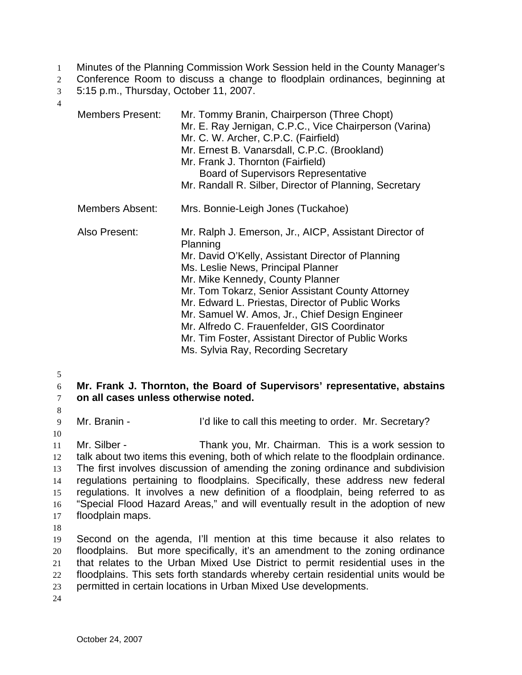- 1 Minutes of the Planning Commission Work Session held in the County Manager's
- 2 Conference Room to discuss a change to floodplain ordinances, beginning at
- 3 5:15 p.m., Thursday, October 11, 2007.
- 4

| <b>Members Present:</b> | Mr. Tommy Branin, Chairperson (Three Chopt)<br>Mr. E. Ray Jernigan, C.P.C., Vice Chairperson (Varina)<br>Mr. C. W. Archer, C.P.C. (Fairfield)<br>Mr. Ernest B. Vanarsdall, C.P.C. (Brookland)<br>Mr. Frank J. Thornton (Fairfield)<br><b>Board of Supervisors Representative</b><br>Mr. Randall R. Silber, Director of Planning, Secretary                                                                                                                        |
|-------------------------|-------------------------------------------------------------------------------------------------------------------------------------------------------------------------------------------------------------------------------------------------------------------------------------------------------------------------------------------------------------------------------------------------------------------------------------------------------------------|
| Members Absent:         | Mrs. Bonnie-Leigh Jones (Tuckahoe)                                                                                                                                                                                                                                                                                                                                                                                                                                |
| Also Present:           | Mr. Ralph J. Emerson, Jr., AICP, Assistant Director of<br>Planning<br>Mr. David O'Kelly, Assistant Director of Planning<br>Ms. Leslie News, Principal Planner<br>Mr. Mike Kennedy, County Planner<br>Mr. Tom Tokarz, Senior Assistant County Attorney<br>Mr. Edward L. Priestas, Director of Public Works<br>Mr. Samuel W. Amos, Jr., Chief Design Engineer<br>Mr. Alfredo C. Frauenfelder, GIS Coordinator<br>Mr. Tim Foster, Assistant Director of Public Works |

Ms. Sylvia Ray, Recording Secretary

5

## 6 **Mr. Frank J. Thornton, the Board of Supervisors' representative, abstains**  7 **on all cases unless otherwise noted.**

8

9 Mr. Branin - I'd like to call this meeting to order. Mr. Secretary?

10

11 Mr. Silber - Thank you, Mr. Chairman. This is a work session to talk about two items this evening, both of which relate to the floodplain ordinance. The first involves discussion of amending the zoning ordinance and subdivision regulations pertaining to floodplains. Specifically, these address new federal regulations. It involves a new definition of a floodplain, being referred to as "Special Flood Hazard Areas," and will eventually result in the adoption of new floodplain maps.

18

Second on the agenda, I'll mention at this time because it also relates to floodplains. But more specifically, it's an amendment to the zoning ordinance that relates to the Urban Mixed Use District to permit residential uses in the floodplains. This sets forth standards whereby certain residential units would be permitted in certain locations in Urban Mixed Use developments.

24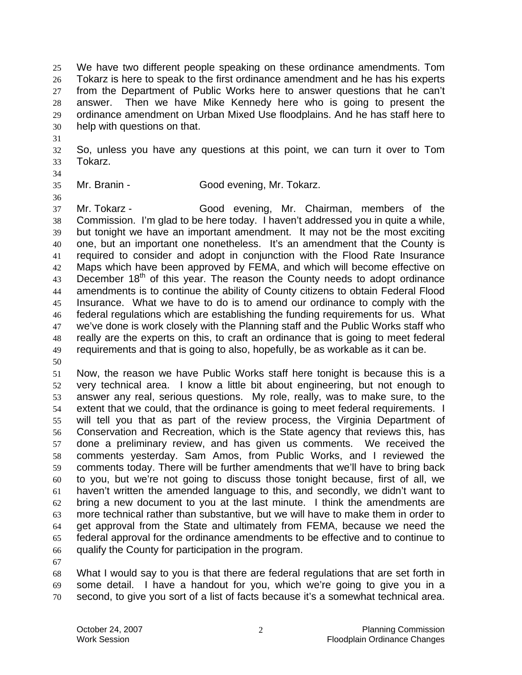We have two different people speaking on these ordinance amendments. Tom Tokarz is here to speak to the first ordinance amendment and he has his experts from the Department of Public Works here to answer questions that he can't answer. Then we have Mike Kennedy here who is going to present the ordinance amendment on Urban Mixed Use floodplains. And he has staff here to help with questions on that.

So, unless you have any questions at this point, we can turn it over to Tom Tokarz.

Mr. Branin - Good evening, Mr. Tokarz.

 Mr. Tokarz - Good evening, Mr. Chairman, members of the Commission. I'm glad to be here today. I haven't addressed you in quite a while, but tonight we have an important amendment. It may not be the most exciting one, but an important one nonetheless. It's an amendment that the County is required to consider and adopt in conjunction with the Flood Rate Insurance Maps which have been approved by FEMA, and which will become effective on 43 December 18<sup>th</sup> of this year. The reason the County needs to adopt ordinance amendments is to continue the ability of County citizens to obtain Federal Flood Insurance. What we have to do is to amend our ordinance to comply with the federal regulations which are establishing the funding requirements for us. What we've done is work closely with the Planning staff and the Public Works staff who really are the experts on this, to craft an ordinance that is going to meet federal requirements and that is going to also, hopefully, be as workable as it can be.

Now, the reason we have Public Works staff here tonight is because this is a very technical area. I know a little bit about engineering, but not enough to answer any real, serious questions. My role, really, was to make sure, to the extent that we could, that the ordinance is going to meet federal requirements. I will tell you that as part of the review process, the Virginia Department of Conservation and Recreation, which is the State agency that reviews this, has done a preliminary review, and has given us comments. We received the comments yesterday. Sam Amos, from Public Works, and I reviewed the comments today. There will be further amendments that we'll have to bring back to you, but we're not going to discuss those tonight because, first of all, we haven't written the amended language to this, and secondly, we didn't want to bring a new document to you at the last minute. I think the amendments are more technical rather than substantive, but we will have to make them in order to get approval from the State and ultimately from FEMA, because we need the federal approval for the ordinance amendments to be effective and to continue to qualify the County for participation in the program.

What I would say to you is that there are federal regulations that are set forth in some detail. I have a handout for you, which we're going to give you in a second, to give you sort of a list of facts because it's a somewhat technical area.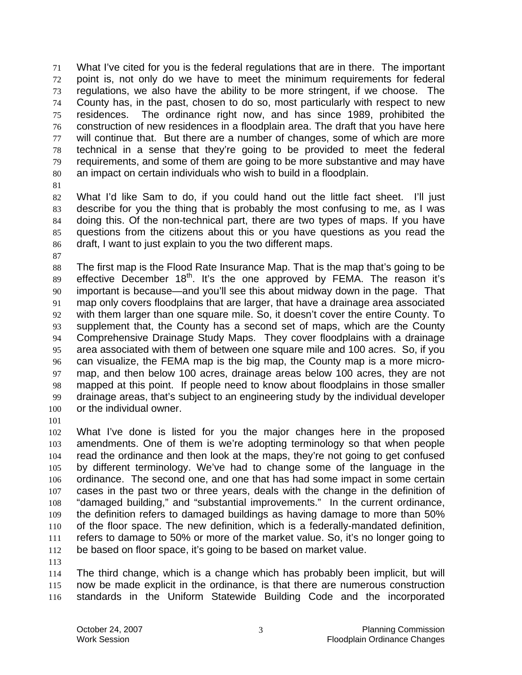What I've cited for you is the federal regulations that are in there. The important point is, not only do we have to meet the minimum requirements for federal regulations, we also have the ability to be more stringent, if we choose. The County has, in the past, chosen to do so, most particularly with respect to new residences. The ordinance right now, and has since 1989, prohibited the construction of new residences in a floodplain area. The draft that you have here will continue that. But there are a number of changes, some of which are more technical in a sense that they're going to be provided to meet the federal requirements, and some of them are going to be more substantive and may have an impact on certain individuals who wish to build in a floodplain.

What I'd like Sam to do, if you could hand out the little fact sheet. I'll just describe for you the thing that is probably the most confusing to me, as I was doing this. Of the non-technical part, there are two types of maps. If you have questions from the citizens about this or you have questions as you read the draft, I want to just explain to you the two different maps.

The first map is the Flood Rate Insurance Map. That is the map that's going to be effective December 18<sup>th</sup>. It's the one approved by FEMA. The reason it's important is because—and you'll see this about midway down in the page. That map only covers floodplains that are larger, that have a drainage area associated with them larger than one square mile. So, it doesn't cover the entire County. To supplement that, the County has a second set of maps, which are the County Comprehensive Drainage Study Maps. They cover floodplains with a drainage area associated with them of between one square mile and 100 acres. So, if you can visualize, the FEMA map is the big map, the County map is a more micro-map, and then below 100 acres, drainage areas below 100 acres, they are not mapped at this point. If people need to know about floodplains in those smaller drainage areas, that's subject to an engineering study by the individual developer 100 or the individual owner.

What I've done is listed for you the major changes here in the proposed amendments. One of them is we're adopting terminology so that when people read the ordinance and then look at the maps, they're not going to get confused by different terminology. We've had to change some of the language in the ordinance. The second one, and one that has had some impact in some certain cases in the past two or three years, deals with the change in the definition of "damaged building," and "substantial improvements." In the current ordinance, the definition refers to damaged buildings as having damage to more than 50% of the floor space. The new definition, which is a federally-mandated definition, refers to damage to 50% or more of the market value. So, it's no longer going to be based on floor space, it's going to be based on market value.

The third change, which is a change which has probably been implicit, but will now be made explicit in the ordinance, is that there are numerous construction standards in the Uniform Statewide Building Code and the incorporated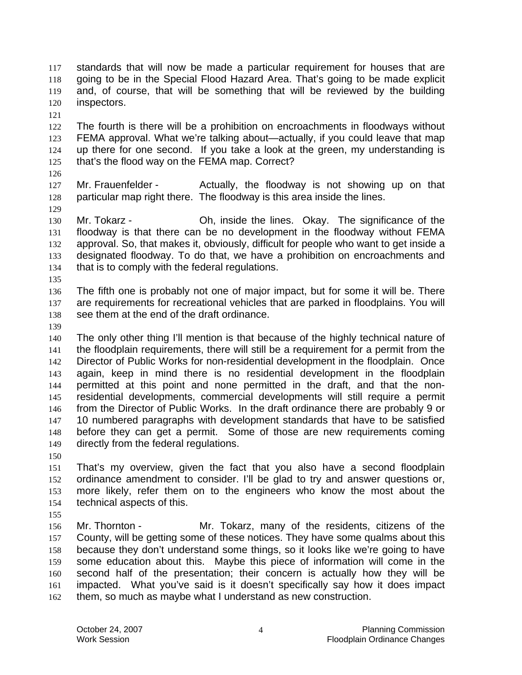standards that will now be made a particular requirement for houses that are going to be in the Special Flood Hazard Area. That's going to be made explicit and, of course, that will be something that will be reviewed by the building inspectors.

The fourth is there will be a prohibition on encroachments in floodways without FEMA approval. What we're talking about—actually, if you could leave that map up there for one second. If you take a look at the green, my understanding is that's the flood way on the FEMA map. Correct?

Mr. Frauenfelder - Actually, the floodway is not showing up on that 128 particular map right there. The floodway is this area inside the lines.

- 130 Mr. Tokarz **Oh, inside the lines. Okay.** The significance of the floodway is that there can be no development in the floodway without FEMA approval. So, that makes it, obviously, difficult for people who want to get inside a designated floodway. To do that, we have a prohibition on encroachments and that is to comply with the federal regulations.
- 

The fifth one is probably not one of major impact, but for some it will be. There are requirements for recreational vehicles that are parked in floodplains. You will see them at the end of the draft ordinance.

The only other thing I'll mention is that because of the highly technical nature of the floodplain requirements, there will still be a requirement for a permit from the Director of Public Works for non-residential development in the floodplain. Once again, keep in mind there is no residential development in the floodplain permitted at this point and none permitted in the draft, and that the non-residential developments, commercial developments will still require a permit from the Director of Public Works. In the draft ordinance there are probably 9 or 10 numbered paragraphs with development standards that have to be satisfied before they can get a permit. Some of those are new requirements coming directly from the federal regulations.

That's my overview, given the fact that you also have a second floodplain ordinance amendment to consider. I'll be glad to try and answer questions or, more likely, refer them on to the engineers who know the most about the technical aspects of this.

Mr. Thornton - Mr. Tokarz, many of the residents, citizens of the County, will be getting some of these notices. They have some qualms about this because they don't understand some things, so it looks like we're going to have some education about this. Maybe this piece of information will come in the second half of the presentation; their concern is actually how they will be impacted. What you've said is it doesn't specifically say how it does impact them, so much as maybe what I understand as new construction.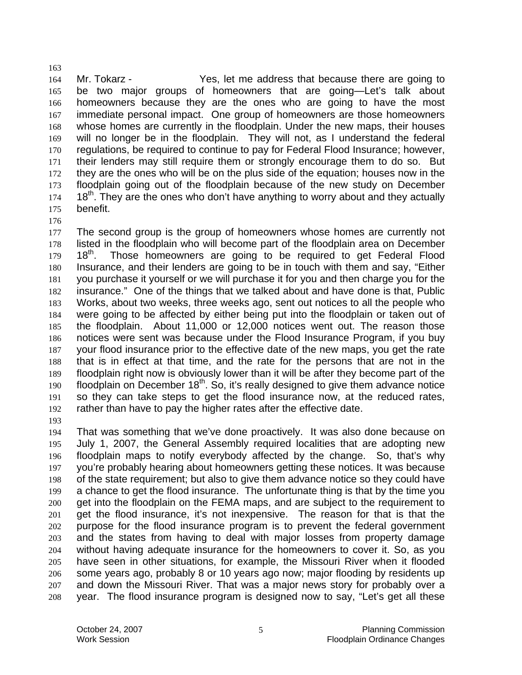164 Mr. Tokarz - Yes, let me address that because there are going to be two major groups of homeowners that are going—Let's talk about homeowners because they are the ones who are going to have the most immediate personal impact. One group of homeowners are those homeowners whose homes are currently in the floodplain. Under the new maps, their houses will no longer be in the floodplain. They will not, as I understand the federal regulations, be required to continue to pay for Federal Flood Insurance; however, their lenders may still require them or strongly encourage them to do so. But they are the ones who will be on the plus side of the equation; houses now in the floodplain going out of the floodplain because of the new study on December 18<sup>th</sup>. They are the ones who don't have anything to worry about and they actually benefit.

The second group is the group of homeowners whose homes are currently not listed in the floodplain who will become part of the floodplain area on December 18<sup>th</sup>. Those homeowners are going to be required to get Federal Flood Insurance, and their lenders are going to be in touch with them and say, "Either you purchase it yourself or we will purchase it for you and then charge you for the insurance." One of the things that we talked about and have done is that, Public Works, about two weeks, three weeks ago, sent out notices to all the people who were going to be affected by either being put into the floodplain or taken out of the floodplain. About 11,000 or 12,000 notices went out. The reason those notices were sent was because under the Flood Insurance Program, if you buy your flood insurance prior to the effective date of the new maps, you get the rate that is in effect at that time, and the rate for the persons that are not in the floodplain right now is obviously lower than it will be after they become part of the **floodplain on December 18<sup>th</sup>. So, it's really designed to give them advance notice** so they can take steps to get the flood insurance now, at the reduced rates, rather than have to pay the higher rates after the effective date.

That was something that we've done proactively. It was also done because on July 1, 2007, the General Assembly required localities that are adopting new floodplain maps to notify everybody affected by the change. So, that's why you're probably hearing about homeowners getting these notices. It was because of the state requirement; but also to give them advance notice so they could have a chance to get the flood insurance. The unfortunate thing is that by the time you get into the floodplain on the FEMA maps, and are subject to the requirement to get the flood insurance, it's not inexpensive. The reason for that is that the purpose for the flood insurance program is to prevent the federal government and the states from having to deal with major losses from property damage without having adequate insurance for the homeowners to cover it. So, as you have seen in other situations, for example, the Missouri River when it flooded some years ago, probably 8 or 10 years ago now; major flooding by residents up and down the Missouri River. That was a major news story for probably over a year. The flood insurance program is designed now to say, "Let's get all these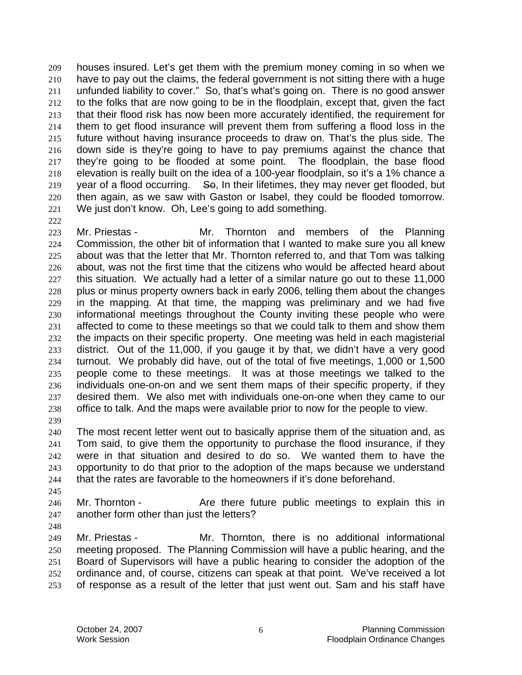houses insured. Let's get them with the premium money coming in so when we have to pay out the claims, the federal government is not sitting there with a huge unfunded liability to cover." So, that's what's going on. There is no good answer to the folks that are now going to be in the floodplain, except that, given the fact that their flood risk has now been more accurately identified, the requirement for them to get flood insurance will prevent them from suffering a flood loss in the future without having insurance proceeds to draw on. That's the plus side. The down side is they're going to have to pay premiums against the chance that they're going to be flooded at some point. The floodplain, the base flood elevation is really built on the idea of a 100-year floodplain, so it's a 1% chance a 219 year of a flood occurring.  $\epsilon$  So, In their lifetimes, they may never get flooded, but then again, as we saw with Gaston or Isabel, they could be flooded tomorrow. We just don't know. Oh, Lee's going to add something.

Mr. Priestas - Mr. Thornton and members of the Planning Commission, the other bit of information that I wanted to make sure you all knew about was that the letter that Mr. Thornton referred to, and that Tom was talking about, was not the first time that the citizens who would be affected heard about this situation. We actually had a letter of a similar nature go out to these 11,000 plus or minus property owners back in early 2006, telling them about the changes in the mapping. At that time, the mapping was preliminary and we had five informational meetings throughout the County inviting these people who were affected to come to these meetings so that we could talk to them and show them the impacts on their specific property. One meeting was held in each magisterial district. Out of the 11,000, if you gauge it by that, we didn't have a very good turnout. We probably did have, out of the total of five meetings, 1,000 or 1,500 people come to these meetings. It was at those meetings we talked to the individuals one-on-on and we sent them maps of their specific property, if they desired them. We also met with individuals one-on-one when they came to our office to talk. And the maps were available prior to now for the people to view.

The most recent letter went out to basically apprise them of the situation and, as Tom said, to give them the opportunity to purchase the flood insurance, if they were in that situation and desired to do so. We wanted them to have the opportunity to do that prior to the adoption of the maps because we understand that the rates are favorable to the homeowners if it's done beforehand.

246 Mr. Thornton - Are there future public meetings to explain this in another form other than just the letters?

Mr. Priestas - Mr. Thornton, there is no additional informational meeting proposed. The Planning Commission will have a public hearing, and the Board of Supervisors will have a public hearing to consider the adoption of the ordinance and, of course, citizens can speak at that point. We've received a lot of response as a result of the letter that just went out. Sam and his staff have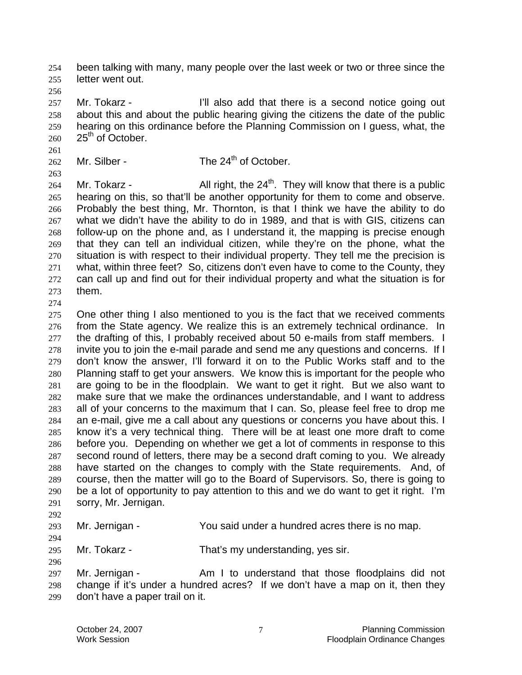been talking with many, many people over the last week or two or three since the letter went out.

257 Mr. Tokarz - **I'll also add that there is a second notice going out** about this and about the public hearing giving the citizens the date of the public hearing on this ordinance before the Planning Commission on I guess, what, the  $25<sup>th</sup>$  of October.

- 
- 

## Mr. Silber - The  $24<sup>th</sup>$  of October.

264 Mr. Tokarz - All right, the  $24<sup>th</sup>$ . They will know that there is a public hearing on this, so that'll be another opportunity for them to come and observe. Probably the best thing, Mr. Thornton, is that I think we have the ability to do what we didn't have the ability to do in 1989, and that is with GIS, citizens can follow-up on the phone and, as I understand it, the mapping is precise enough that they can tell an individual citizen, while they're on the phone, what the situation is with respect to their individual property. They tell me the precision is what, within three feet? So, citizens don't even have to come to the County, they can call up and find out for their individual property and what the situation is for them.

275 One other thing I also mentioned to you is the fact that we received comments from the State agency. We realize this is an extremely technical ordinance. In 277 the drafting of this, I probably received about 50 e-mails from staff members. I invite you to join the e-mail parade and send me any questions and concerns. If I don't know the answer, I'll forward it on to the Public Works staff and to the Planning staff to get your answers. We know this is important for the people who are going to be in the floodplain. We want to get it right. But we also want to make sure that we make the ordinances understandable, and I want to address all of your concerns to the maximum that I can. So, please feel free to drop me an e-mail, give me a call about any questions or concerns you have about this. I know it's a very technical thing. There will be at least one more draft to come before you. Depending on whether we get a lot of comments in response to this second round of letters, there may be a second draft coming to you. We already have started on the changes to comply with the State requirements. And, of course, then the matter will go to the Board of Supervisors. So, there is going to be a lot of opportunity to pay attention to this and we do want to get it right. I'm sorry, Mr. Jernigan.

## Mr. Jernigan - You said under a hundred acres there is no map.

Mr. Tokarz - That's my understanding, yes sir.

297 Mr. Jernigan - Am I to understand that those floodplains did not change if it's under a hundred acres? If we don't have a map on it, then they don't have a paper trail on it.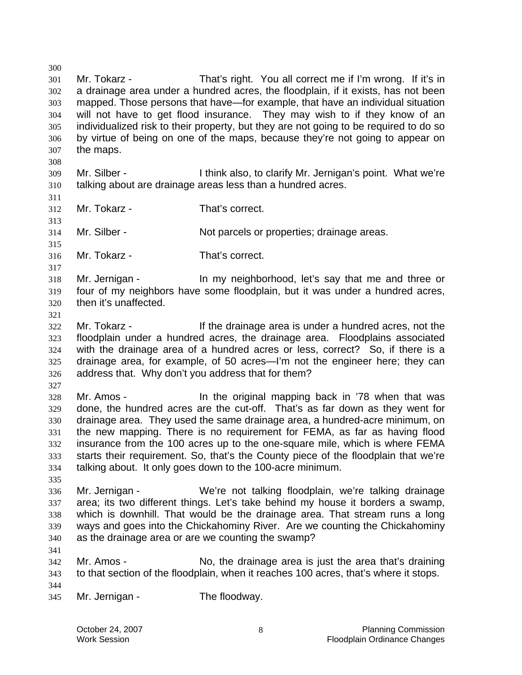Mr. Tokarz - That's right. You all correct me if I'm wrong. If it's in a drainage area under a hundred acres, the floodplain, if it exists, has not been mapped. Those persons that have—for example, that have an individual situation will not have to get flood insurance. They may wish to if they know of an individualized risk to their property, but they are not going to be required to do so by virtue of being on one of the maps, because they're not going to appear on the maps. Mr. Silber - I think also, to clarify Mr. Jernigan's point. What we're talking about are drainage areas less than a hundred acres. Mr. Tokarz - That's correct. Mr. Silber - Not parcels or properties; drainage areas. Mr. Tokarz - That's correct. Mr. Jernigan - In my neighborhood, let's say that me and three or four of my neighbors have some floodplain, but it was under a hundred acres, then it's unaffected. Mr. Tokarz - If the drainage area is under a hundred acres, not the floodplain under a hundred acres, the drainage area. Floodplains associated with the drainage area of a hundred acres or less, correct? So, if there is a drainage area, for example, of 50 acres—I'm not the engineer here; they can address that. Why don't you address that for them? Mr. Amos - In the original mapping back in '78 when that was done, the hundred acres are the cut-off. That's as far down as they went for drainage area. They used the same drainage area, a hundred-acre minimum, on the new mapping. There is no requirement for FEMA, as far as having flood insurance from the 100 acres up to the one-square mile, which is where FEMA starts their requirement. So, that's the County piece of the floodplain that we're talking about. It only goes down to the 100-acre minimum. Mr. Jernigan - We're not talking floodplain, we're talking drainage area; its two different things. Let's take behind my house it borders a swamp, which is downhill. That would be the drainage area. That stream runs a long ways and goes into the Chickahominy River. Are we counting the Chickahominy as the drainage area or are we counting the swamp? Mr. Amos - No, the drainage area is just the area that's draining to that section of the floodplain, when it reaches 100 acres, that's where it stops. Mr. Jernigan - The floodway.

October 24, 2007 **Planning Commission Planning Commission** Work Session **Floodplain Ordinance Changes Floodplain Ordinance Changes**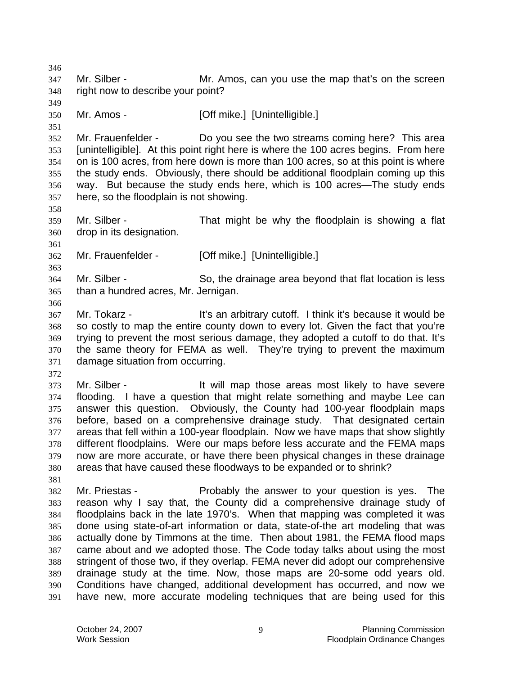Mr. Silber - Mr. Amos, can you use the map that's on the screen right now to describe your point? Mr. Amos - [Off mike.] [Unintelligible.] Mr. Frauenfelder - Do you see the two streams coming here? This area [unintelligible]. At this point right here is where the 100 acres begins. From here on is 100 acres, from here down is more than 100 acres, so at this point is where the study ends. Obviously, there should be additional floodplain coming up this way. But because the study ends here, which is 100 acres—The study ends here, so the floodplain is not showing. Mr. Silber - That might be why the floodplain is showing a flat drop in its designation. Mr. Frauenfelder - [Off mike.] [Unintelligible.] Mr. Silber - So, the drainage area beyond that flat location is less than a hundred acres, Mr. Jernigan. Mr. Tokarz - It's an arbitrary cutoff. I think it's because it would be so costly to map the entire county down to every lot. Given the fact that you're trying to prevent the most serious damage, they adopted a cutoff to do that. It's the same theory for FEMA as well. They're trying to prevent the maximum damage situation from occurring. Mr. Silber - It will map those areas most likely to have severe flooding. I have a question that might relate something and maybe Lee can answer this question. Obviously, the County had 100-year floodplain maps before, based on a comprehensive drainage study. That designated certain areas that fell within a 100-year floodplain. Now we have maps that show slightly different floodplains. Were our maps before less accurate and the FEMA maps now are more accurate, or have there been physical changes in these drainage areas that have caused these floodways to be expanded or to shrink? Mr. Priestas - Probably the answer to your question is yes. The reason why I say that, the County did a comprehensive drainage study of floodplains back in the late 1970's. When that mapping was completed it was done using state-of-art information or data, state-of-the art modeling that was actually done by Timmons at the time. Then about 1981, the FEMA flood maps came about and we adopted those. The Code today talks about using the most stringent of those two, if they overlap. FEMA never did adopt our comprehensive drainage study at the time. Now, those maps are 20-some odd years old. Conditions have changed, additional development has occurred, and now we have new, more accurate modeling techniques that are being used for this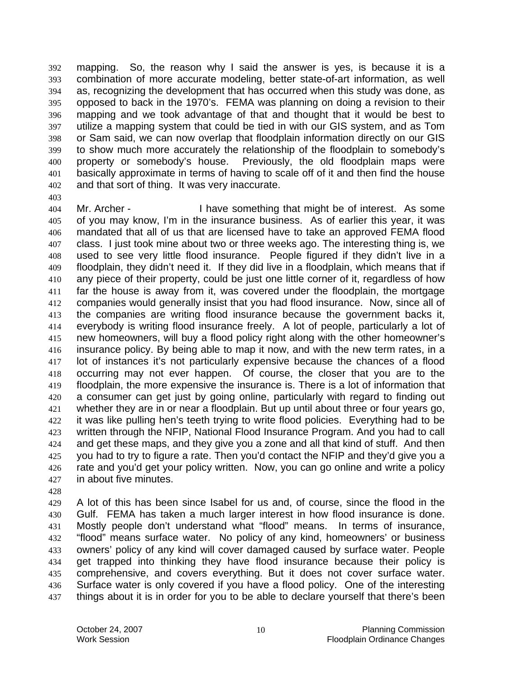mapping. So, the reason why I said the answer is yes, is because it is a combination of more accurate modeling, better state-of-art information, as well as, recognizing the development that has occurred when this study was done, as opposed to back in the 1970's. FEMA was planning on doing a revision to their mapping and we took advantage of that and thought that it would be best to utilize a mapping system that could be tied in with our GIS system, and as Tom or Sam said, we can now overlap that floodplain information directly on our GIS to show much more accurately the relationship of the floodplain to somebody's property or somebody's house. Previously, the old floodplain maps were basically approximate in terms of having to scale off of it and then find the house and that sort of thing. It was very inaccurate.

Mr. Archer - I have something that might be of interest. As some of you may know, I'm in the insurance business. As of earlier this year, it was mandated that all of us that are licensed have to take an approved FEMA flood class. I just took mine about two or three weeks ago. The interesting thing is, we used to see very little flood insurance. People figured if they didn't live in a floodplain, they didn't need it. If they did live in a floodplain, which means that if any piece of their property, could be just one little corner of it, regardless of how far the house is away from it, was covered under the floodplain, the mortgage companies would generally insist that you had flood insurance. Now, since all of the companies are writing flood insurance because the government backs it, everybody is writing flood insurance freely. A lot of people, particularly a lot of new homeowners, will buy a flood policy right along with the other homeowner's insurance policy. By being able to map it now, and with the new term rates, in a lot of instances it's not particularly expensive because the chances of a flood occurring may not ever happen. Of course, the closer that you are to the floodplain, the more expensive the insurance is. There is a lot of information that a consumer can get just by going online, particularly with regard to finding out whether they are in or near a floodplain. But up until about three or four years go, 422 it was like pulling hen's teeth trying to write flood policies. Everything had to be written through the NFIP, National Flood Insurance Program. And you had to call and get these maps, and they give you a zone and all that kind of stuff. And then you had to try to figure a rate. Then you'd contact the NFIP and they'd give you a 426 rate and you'd get your policy written. Now, you can go online and write a policy in about five minutes.

A lot of this has been since Isabel for us and, of course, since the flood in the Gulf. FEMA has taken a much larger interest in how flood insurance is done. Mostly people don't understand what "flood" means. In terms of insurance, "flood" means surface water. No policy of any kind, homeowners' or business owners' policy of any kind will cover damaged caused by surface water. People get trapped into thinking they have flood insurance because their policy is comprehensive, and covers everything. But it does not cover surface water. Surface water is only covered if you have a flood policy. One of the interesting 437 things about it is in order for you to be able to declare yourself that there's been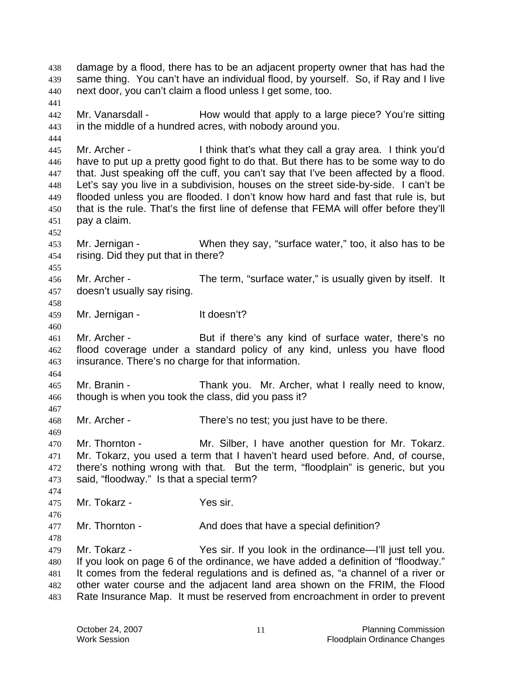damage by a flood, there has to be an adjacent property owner that has had the same thing. You can't have an individual flood, by yourself. So, if Ray and I live next door, you can't claim a flood unless I get some, too. Mr. Vanarsdall - How would that apply to a large piece? You're sitting in the middle of a hundred acres, with nobody around you. Mr. Archer - I think that's what they call a gray area. I think you'd have to put up a pretty good fight to do that. But there has to be some way to do that. Just speaking off the cuff, you can't say that I've been affected by a flood. Let's say you live in a subdivision, houses on the street side-by-side. I can't be flooded unless you are flooded. I don't know how hard and fast that rule is, but that is the rule. That's the first line of defense that FEMA will offer before they'll pay a claim. Mr. Jernigan - When they say, "surface water," too, it also has to be rising. Did they put that in there? Mr. Archer - The term, "surface water," is usually given by itself. It doesn't usually say rising. 459 Mr. Jernigan - It doesn't? Mr. Archer - But if there's any kind of surface water, there's no flood coverage under a standard policy of any kind, unless you have flood insurance. There's no charge for that information. Mr. Branin - Thank you. Mr. Archer, what I really need to know, though is when you took the class, did you pass it? Mr. Archer - There's no test; you just have to be there. Mr. Thornton - Mr. Silber, I have another question for Mr. Tokarz. Mr. Tokarz, you used a term that I haven't heard used before. And, of course, there's nothing wrong with that. But the term, "floodplain" is generic, but you said, "floodway." Is that a special term? Mr. Tokarz - Yes sir. 477 Mr. Thornton - And does that have a special definition? Mr. Tokarz - Yes sir. If you look in the ordinance—I'll just tell you. If you look on page 6 of the ordinance, we have added a definition of "floodway." It comes from the federal regulations and is defined as, "a channel of a river or other water course and the adjacent land area shown on the FRIM, the Flood Rate Insurance Map. It must be reserved from encroachment in order to prevent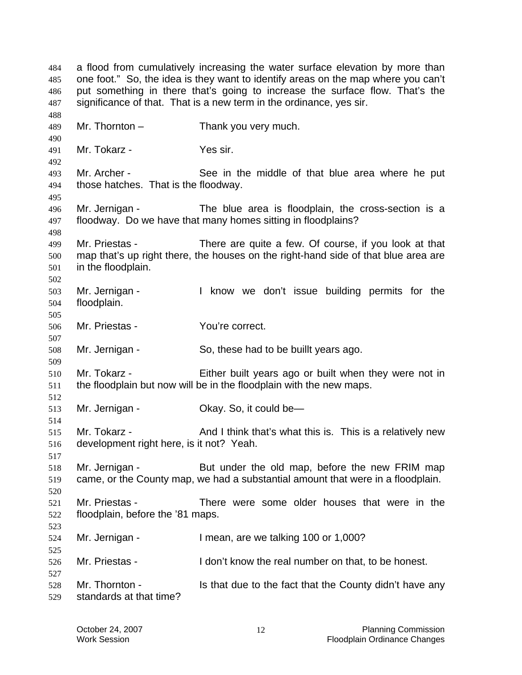a flood from cumulatively increasing the water surface elevation by more than one foot." So, the idea is they want to identify areas on the map where you can't put something in there that's going to increase the surface flow. That's the significance of that. That is a new term in the ordinance, yes sir. Mr. Thornton – Thank you very much. Mr. Tokarz - Yes sir. Mr. Archer - See in the middle of that blue area where he put those hatches. That is the floodway. Mr. Jernigan - The blue area is floodplain, the cross-section is a floodway. Do we have that many homes sitting in floodplains? Mr. Priestas - There are quite a few. Of course, if you look at that map that's up right there, the houses on the right-hand side of that blue area are in the floodplain. Mr. Jernigan - I know we don't issue building permits for the floodplain. Mr. Priestas - You're correct. Mr. Jernigan - So, these had to be buillt years ago. Mr. Tokarz - Either built years ago or built when they were not in the floodplain but now will be in the floodplain with the new maps. Mr. Jernigan - Okay. So, it could be— 515 Mr. Tokarz - And I think that's what this is. This is a relatively new development right here, is it not? Yeah. Mr. Jernigan - But under the old map, before the new FRIM map came, or the County map, we had a substantial amount that were in a floodplain. Mr. Priestas - There were some older houses that were in the floodplain, before the '81 maps. Mr. Jernigan - I mean, are we talking 100 or 1,000? Mr. Priestas - I don't know the real number on that, to be honest. 528 Mr. Thornton - Is that due to the fact that the County didn't have any standards at that time?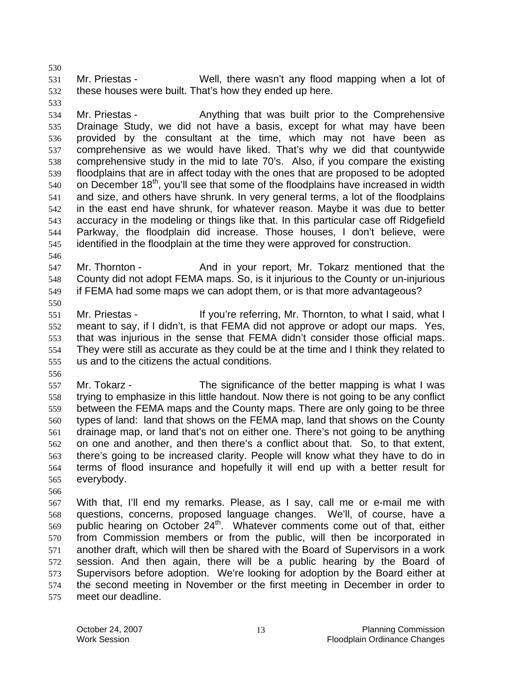Mr. Priestas - Well, there wasn't any flood mapping when a lot of these houses were built. That's how they ended up here.

Mr. Priestas - Anything that was built prior to the Comprehensive Drainage Study, we did not have a basis, except for what may have been provided by the consultant at the time, which may not have been as comprehensive as we would have liked. That's why we did that countywide comprehensive study in the mid to late 70's. Also, if you compare the existing floodplains that are in affect today with the ones that are proposed to be adopted on December 18<sup>th</sup>, you'll see that some of the floodplains have increased in width and size, and others have shrunk. In very general terms, a lot of the floodplains in the east end have shrunk, for whatever reason. Maybe it was due to better accuracy in the modeling or things like that. In this particular case off Ridgefield Parkway, the floodplain did increase. Those houses, I don't believe, were identified in the floodplain at the time they were approved for construction.

547 Mr. Thornton - And in your report, Mr. Tokarz mentioned that the County did not adopt FEMA maps. So, is it injurious to the County or un-injurious if FEMA had some maps we can adopt them, or is that more advantageous?

Mr. Priestas - If you're referring, Mr. Thornton, to what I said, what I meant to say, if I didn't, is that FEMA did not approve or adopt our maps. Yes, that was injurious in the sense that FEMA didn't consider those official maps. They were still as accurate as they could be at the time and I think they related to us and to the citizens the actual conditions.

Mr. Tokarz - The significance of the better mapping is what I was trying to emphasize in this little handout. Now there is not going to be any conflict between the FEMA maps and the County maps. There are only going to be three types of land: land that shows on the FEMA map, land that shows on the County drainage map, or land that's not on either one. There's not going to be anything on one and another, and then there's a conflict about that. So, to that extent, there's going to be increased clarity. People will know what they have to do in terms of flood insurance and hopefully it will end up with a better result for everybody.

With that, I'll end my remarks. Please, as I say, call me or e-mail me with questions, concerns, proposed language changes. We'll, of course, have a public hearing on October 24<sup>th</sup>. Whatever comments come out of that, either from Commission members or from the public, will then be incorporated in another draft, which will then be shared with the Board of Supervisors in a work session. And then again, there will be a public hearing by the Board of Supervisors before adoption. We're looking for adoption by the Board either at the second meeting in November or the first meeting in December in order to meet our deadline.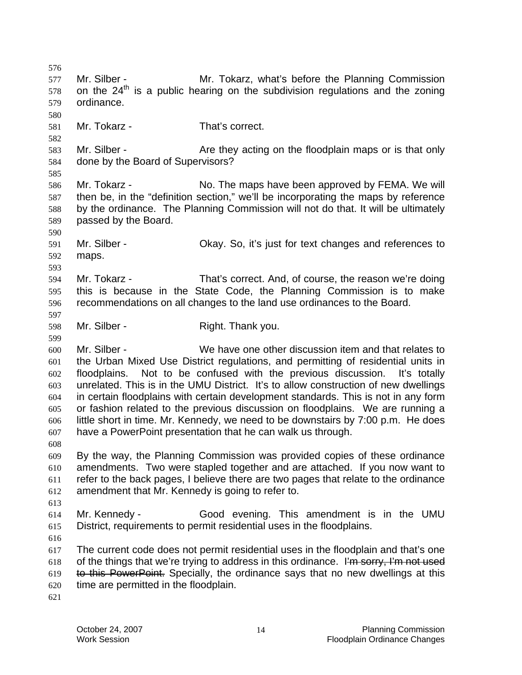Mr. Silber - Mr. Tokarz, what's before the Planning Commission on the  $24<sup>th</sup>$  is a public hearing on the subdivision regulations and the zoning ordinance. Mr. Tokarz - That's correct. 583 Mr. Silber - Are they acting on the floodplain maps or is that only done by the Board of Supervisors? Mr. Tokarz - No. The maps have been approved by FEMA. We will then be, in the "definition section," we'll be incorporating the maps by reference by the ordinance. The Planning Commission will not do that. It will be ultimately passed by the Board. Mr. Silber - Okay. So, it's just for text changes and references to maps. Mr. Tokarz - That's correct. And, of course, the reason we're doing this is because in the State Code, the Planning Commission is to make recommendations on all changes to the land use ordinances to the Board. Mr. Silber - Right. Thank you. Mr. Silber - We have one other discussion item and that relates to the Urban Mixed Use District regulations, and permitting of residential units in floodplains. Not to be confused with the previous discussion. It's totally unrelated. This is in the UMU District. It's to allow construction of new dwellings in certain floodplains with certain development standards. This is not in any form or fashion related to the previous discussion on floodplains. We are running a little short in time. Mr. Kennedy, we need to be downstairs by 7:00 p.m. He does have a PowerPoint presentation that he can walk us through. By the way, the Planning Commission was provided copies of these ordinance amendments. Two were stapled together and are attached. If you now want to refer to the back pages, I believe there are two pages that relate to the ordinance amendment that Mr. Kennedy is going to refer to. Mr. Kennedy - Good evening. This amendment is in the UMU District, requirements to permit residential uses in the floodplains. The current code does not permit residential uses in the floodplain and that's one 618 of the things that we're trying to address in this ordinance. I'm sorry, I'm not used to this PowerPoint. Specially, the ordinance says that no new dwellings at this time are permitted in the floodplain.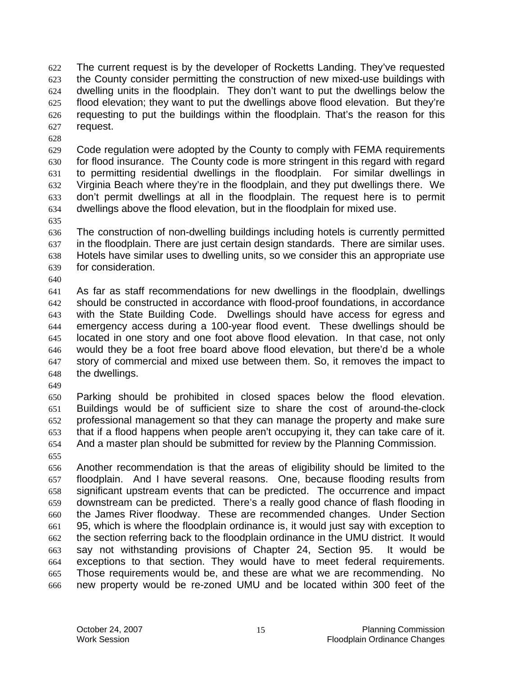The current request is by the developer of Rocketts Landing. They've requested the County consider permitting the construction of new mixed-use buildings with dwelling units in the floodplain. They don't want to put the dwellings below the flood elevation; they want to put the dwellings above flood elevation. But they're requesting to put the buildings within the floodplain. That's the reason for this request.

Code regulation were adopted by the County to comply with FEMA requirements for flood insurance. The County code is more stringent in this regard with regard to permitting residential dwellings in the floodplain. For similar dwellings in Virginia Beach where they're in the floodplain, and they put dwellings there. We don't permit dwellings at all in the floodplain. The request here is to permit dwellings above the flood elevation, but in the floodplain for mixed use.

- The construction of non-dwelling buildings including hotels is currently permitted in the floodplain. There are just certain design standards. There are similar uses. Hotels have similar uses to dwelling units, so we consider this an appropriate use for consideration.
- 

As far as staff recommendations for new dwellings in the floodplain, dwellings should be constructed in accordance with flood-proof foundations, in accordance with the State Building Code. Dwellings should have access for egress and emergency access during a 100-year flood event. These dwellings should be located in one story and one foot above flood elevation. In that case, not only would they be a foot free board above flood elevation, but there'd be a whole story of commercial and mixed use between them. So, it removes the impact to the dwellings.

Parking should be prohibited in closed spaces below the flood elevation. Buildings would be of sufficient size to share the cost of around-the-clock professional management so that they can manage the property and make sure that if a flood happens when people aren't occupying it, they can take care of it. And a master plan should be submitted for review by the Planning Commission.

Another recommendation is that the areas of eligibility should be limited to the floodplain. And I have several reasons. One, because flooding results from significant upstream events that can be predicted. The occurrence and impact downstream can be predicted. There's a really good chance of flash flooding in the James River floodway. These are recommended changes. Under Section 95, which is where the floodplain ordinance is, it would just say with exception to the section referring back to the floodplain ordinance in the UMU district. It would say not withstanding provisions of Chapter 24, Section 95. It would be exceptions to that section. They would have to meet federal requirements. Those requirements would be, and these are what we are recommending. No new property would be re-zoned UMU and be located within 300 feet of the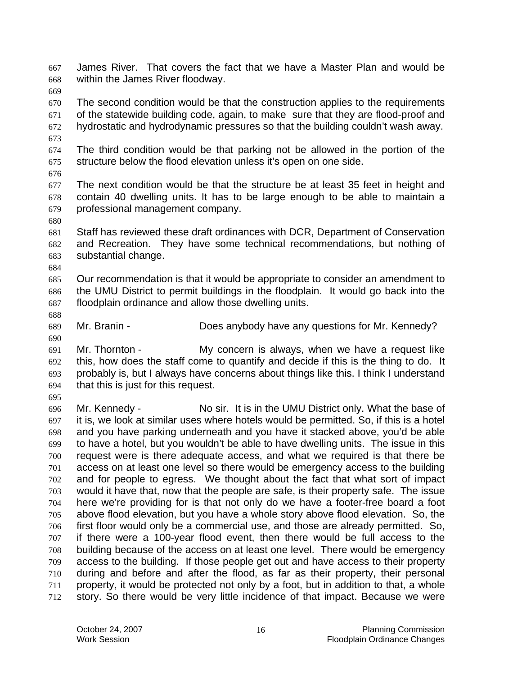James River. That covers the fact that we have a Master Plan and would be within the James River floodway.

The second condition would be that the construction applies to the requirements of the statewide building code, again, to make sure that they are flood-proof and hydrostatic and hydrodynamic pressures so that the building couldn't wash away.

The third condition would be that parking not be allowed in the portion of the structure below the flood elevation unless it's open on one side.

The next condition would be that the structure be at least 35 feet in height and contain 40 dwelling units. It has to be large enough to be able to maintain a professional management company.

Staff has reviewed these draft ordinances with DCR, Department of Conservation and Recreation. They have some technical recommendations, but nothing of substantial change.

Our recommendation is that it would be appropriate to consider an amendment to the UMU District to permit buildings in the floodplain. It would go back into the floodplain ordinance and allow those dwelling units.

Mr. Branin - Does anybody have any questions for Mr. Kennedy?

Mr. Thornton - My concern is always, when we have a request like this, how does the staff come to quantify and decide if this is the thing to do. It probably is, but I always have concerns about things like this. I think I understand that this is just for this request.

Mr. Kennedy - No sir. It is in the UMU District only. What the base of it is, we look at similar uses where hotels would be permitted. So, if this is a hotel and you have parking underneath and you have it stacked above, you'd be able to have a hotel, but you wouldn't be able to have dwelling units. The issue in this request were is there adequate access, and what we required is that there be access on at least one level so there would be emergency access to the building and for people to egress. We thought about the fact that what sort of impact would it have that, now that the people are safe, is their property safe. The issue here we're providing for is that not only do we have a footer-free board a foot above flood elevation, but you have a whole story above flood elevation. So, the first floor would only be a commercial use, and those are already permitted. So, if there were a 100-year flood event, then there would be full access to the building because of the access on at least one level. There would be emergency access to the building. If those people get out and have access to their property during and before and after the flood, as far as their property, their personal property, it would be protected not only by a foot, but in addition to that, a whole story. So there would be very little incidence of that impact. Because we were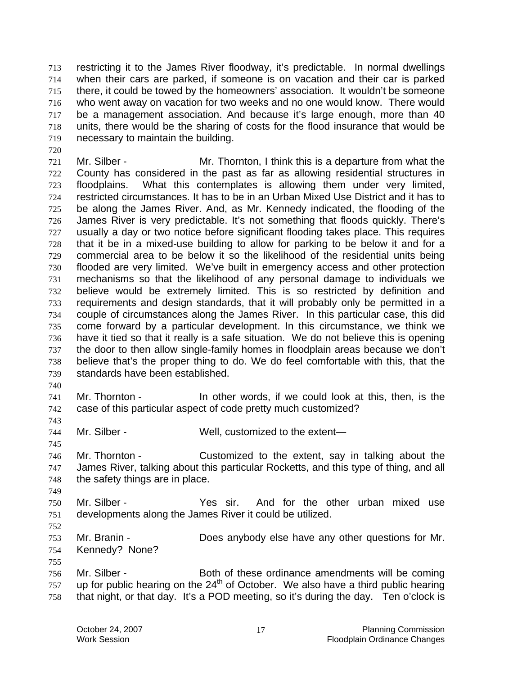restricting it to the James River floodway, it's predictable. In normal dwellings when their cars are parked, if someone is on vacation and their car is parked there, it could be towed by the homeowners' association. It wouldn't be someone who went away on vacation for two weeks and no one would know. There would be a management association. And because it's large enough, more than 40 units, there would be the sharing of costs for the flood insurance that would be necessary to maintain the building.

- Mr. Silber Mr. Thornton, I think this is a departure from what the County has considered in the past as far as allowing residential structures in floodplains. What this contemplates is allowing them under very limited, restricted circumstances. It has to be in an Urban Mixed Use District and it has to be along the James River. And, as Mr. Kennedy indicated, the flooding of the James River is very predictable. It's not something that floods quickly. There's usually a day or two notice before significant flooding takes place. This requires that it be in a mixed-use building to allow for parking to be below it and for a commercial area to be below it so the likelihood of the residential units being flooded are very limited. We've built in emergency access and other protection mechanisms so that the likelihood of any personal damage to individuals we believe would be extremely limited. This is so restricted by definition and requirements and design standards, that it will probably only be permitted in a couple of circumstances along the James River. In this particular case, this did come forward by a particular development. In this circumstance, we think we have it tied so that it really is a safe situation. We do not believe this is opening the door to then allow single-family homes in floodplain areas because we don't believe that's the proper thing to do. We do feel comfortable with this, that the standards have been established.
- 

Mr. Thornton - In other words, if we could look at this, then, is the case of this particular aspect of code pretty much customized?

- Mr. Silber Well, customized to the extent—
- Mr. Thornton Customized to the extent, say in talking about the James River, talking about this particular Rocketts, and this type of thing, and all the safety things are in place.
- Mr. Silber Yes sir. And for the other urban mixed use developments along the James River it could be utilized.
- 

- Mr. Branin Does anybody else have any other questions for Mr. Kennedy? None?
- Mr. Silber Both of these ordinance amendments will be coming up for public hearing on the 24<sup>th</sup> of October. We also have a third public hearing that night, or that day. It's a POD meeting, so it's during the day. Ten o'clock is